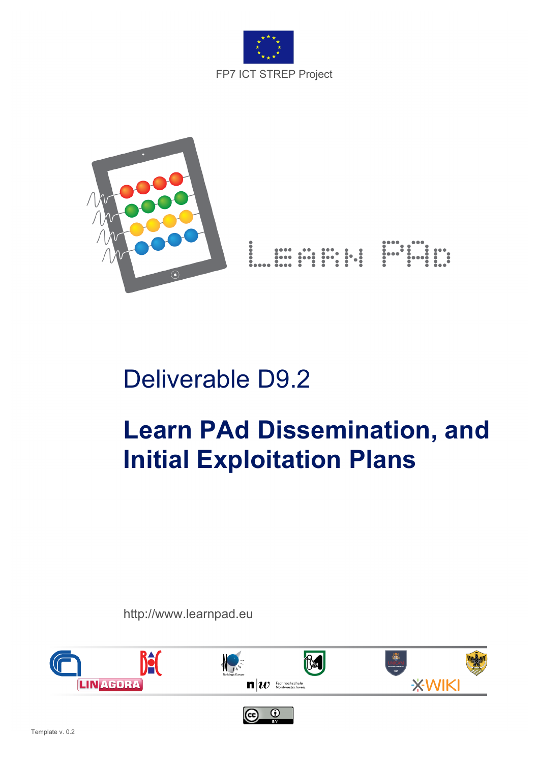



## Deliverable D9.2

# **Learn PAd Dissemination, and Initial Exploitation Plans**

http://www.learnpad.eu

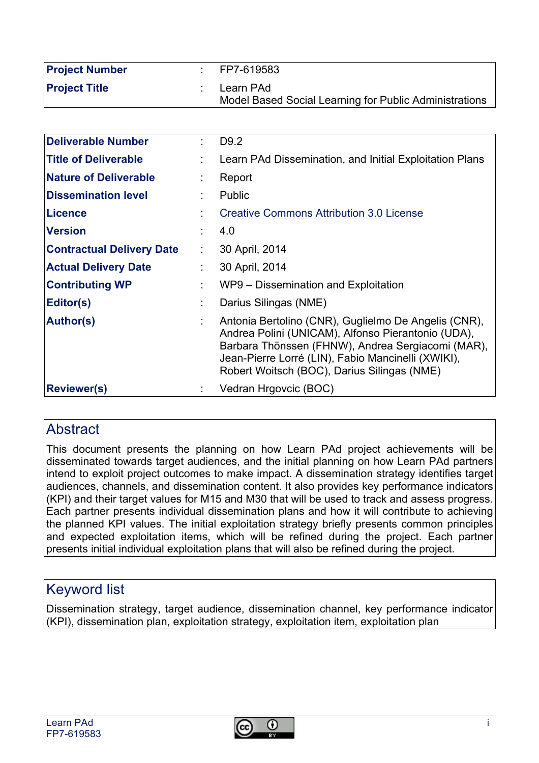| <b>Project Number</b> | FP7-619583                                                          |
|-----------------------|---------------------------------------------------------------------|
| <b>Project Title</b>  | Learn PAd<br>Model Based Social Learning for Public Administrations |

| Deliverable Number               |                | D <sub>9.2</sub>                                                                                                                                                                                                                                                     |
|----------------------------------|----------------|----------------------------------------------------------------------------------------------------------------------------------------------------------------------------------------------------------------------------------------------------------------------|
| <b>Title of Deliverable</b>      |                | Learn PAd Dissemination, and Initial Exploitation Plans                                                                                                                                                                                                              |
| <b>Nature of Deliverable</b>     |                | Report                                                                                                                                                                                                                                                               |
| <b>Dissemination level</b>       |                | Public                                                                                                                                                                                                                                                               |
| Licence                          |                | <b>Creative Commons Attribution 3.0 License</b>                                                                                                                                                                                                                      |
| <b>Version</b>                   |                | 4.0                                                                                                                                                                                                                                                                  |
| <b>Contractual Delivery Date</b> | ÷.             | 30 April, 2014                                                                                                                                                                                                                                                       |
| <b>Actual Delivery Date</b>      |                | 30 April, 2014                                                                                                                                                                                                                                                       |
| <b>Contributing WP</b>           | $\blacksquare$ | WP9 – Dissemination and Exploitation                                                                                                                                                                                                                                 |
| Editor(s)                        |                | Darius Silingas (NME)                                                                                                                                                                                                                                                |
| <b>Author(s)</b>                 |                | Antonia Bertolino (CNR), Guglielmo De Angelis (CNR),<br>Andrea Polini (UNICAM), Alfonso Pierantonio (UDA),<br>Barbara Thönssen (FHNW), Andrea Sergiacomi (MAR),<br>Jean-Pierre Lorré (LIN), Fabio Mancinelli (XWIKI),<br>Robert Woitsch (BOC), Darius Silingas (NME) |
| <b>Reviewer(s)</b>               |                | Vedran Hrgovcic (BOC)                                                                                                                                                                                                                                                |

#### **Abstract**

This document presents the planning on how Learn PAd project achievements will be disseminated towards target audiences, and the initial planning on how Learn PAd partners intend to exploit project outcomes to make impact. A dissemination strategy identifies target audiences, channels, and dissemination content. It also provides key performance indicators (KPI) and their target values for M15 and M30 that will be used to track and assess progress. Each partner presents individual dissemination plans and how it will contribute to achieving the planned KPI values. The initial exploitation strategy briefly presents common principles and expected exploitation items, which will be refined during the project. Each partner presents initial individual exploitation plans that will also be refined during the project.

## Keyword list

Dissemination strategy, target audience, dissemination channel, key performance indicator (KPI), dissemination plan, exploitation strategy, exploitation item, exploitation plan

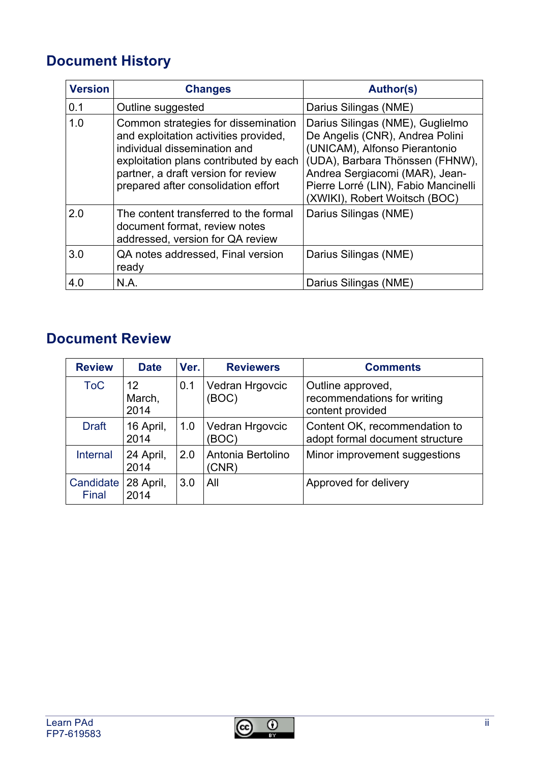## **Document History**

| <b>Version</b> | <b>Changes</b>                                                                                                                                                                                                                       | <b>Author(s)</b>                                                                                                                                                                                                                                   |
|----------------|--------------------------------------------------------------------------------------------------------------------------------------------------------------------------------------------------------------------------------------|----------------------------------------------------------------------------------------------------------------------------------------------------------------------------------------------------------------------------------------------------|
| 0.1            | Outline suggested                                                                                                                                                                                                                    | Darius Silingas (NME)                                                                                                                                                                                                                              |
| 1.0            | Common strategies for dissemination<br>and exploitation activities provided,<br>individual dissemination and<br>exploitation plans contributed by each<br>partner, a draft version for review<br>prepared after consolidation effort | Darius Silingas (NME), Guglielmo<br>De Angelis (CNR), Andrea Polini<br>(UNICAM), Alfonso Pierantonio<br>(UDA), Barbara Thönssen (FHNW),<br>Andrea Sergiacomi (MAR), Jean-<br>Pierre Lorré (LIN), Fabio Mancinelli<br>(XWIKI), Robert Woitsch (BOC) |
| 2.0            | The content transferred to the formal<br>document format, review notes<br>addressed, version for QA review                                                                                                                           | Darius Silingas (NME)                                                                                                                                                                                                                              |
| 3.0            | QA notes addressed, Final version<br>ready                                                                                                                                                                                           | Darius Silingas (NME)                                                                                                                                                                                                                              |
| 4.0            | N.A.                                                                                                                                                                                                                                 | Darius Silingas (NME)                                                                                                                                                                                                                              |

## **Document Review**

| <b>Review</b>      | <b>Date</b>          | Ver. | <b>Reviewers</b>           | <b>Comments</b>                                                      |
|--------------------|----------------------|------|----------------------------|----------------------------------------------------------------------|
| <b>ToC</b>         | 12<br>March,<br>2014 | 0.1  | Vedran Hrgovcic<br>(BOC)   | Outline approved,<br>recommendations for writing<br>content provided |
| <b>Draft</b>       | 16 April,<br>2014    | 1.0  | Vedran Hrgovcic<br>(BOC)   | Content OK, recommendation to<br>adopt formal document structure     |
| Internal           | 24 April,<br>2014    | 2.0  | Antonia Bertolino<br>(CNR) | Minor improvement suggestions                                        |
| Candidate<br>Final | 28 April,<br>2014    | 3.0  | All                        | Approved for delivery                                                |

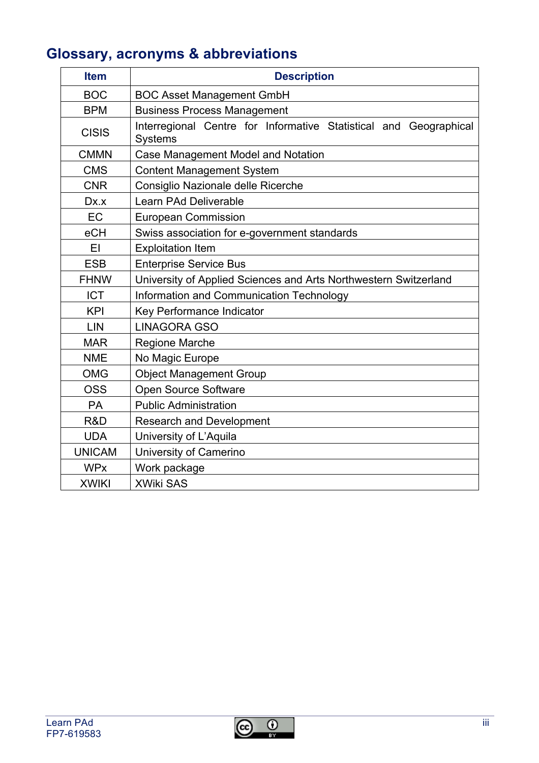## **Glossary, acronyms & abbreviations**

| <b>Item</b>   | <b>Description</b>                                                                  |  |  |  |
|---------------|-------------------------------------------------------------------------------------|--|--|--|
| <b>BOC</b>    | <b>BOC Asset Management GmbH</b>                                                    |  |  |  |
| <b>BPM</b>    | <b>Business Process Management</b>                                                  |  |  |  |
| <b>CISIS</b>  | Interregional Centre for Informative Statistical and Geographical<br><b>Systems</b> |  |  |  |
| <b>CMMN</b>   | Case Management Model and Notation                                                  |  |  |  |
| <b>CMS</b>    | <b>Content Management System</b>                                                    |  |  |  |
| <b>CNR</b>    | Consiglio Nazionale delle Ricerche                                                  |  |  |  |
| Dx.x          | Learn PAd Deliverable                                                               |  |  |  |
| EC            | <b>European Commission</b>                                                          |  |  |  |
| eCH           | Swiss association for e-government standards                                        |  |  |  |
| EI            | <b>Exploitation Item</b>                                                            |  |  |  |
| <b>ESB</b>    | <b>Enterprise Service Bus</b>                                                       |  |  |  |
| <b>FHNW</b>   | University of Applied Sciences and Arts Northwestern Switzerland                    |  |  |  |
| <b>ICT</b>    | Information and Communication Technology                                            |  |  |  |
| <b>KPI</b>    | Key Performance Indicator                                                           |  |  |  |
| LIN           | <b>LINAGORA GSO</b>                                                                 |  |  |  |
| <b>MAR</b>    | <b>Regione Marche</b>                                                               |  |  |  |
| <b>NME</b>    | No Magic Europe                                                                     |  |  |  |
| <b>OMG</b>    | <b>Object Management Group</b>                                                      |  |  |  |
| <b>OSS</b>    | Open Source Software                                                                |  |  |  |
| <b>PA</b>     | <b>Public Administration</b>                                                        |  |  |  |
| R&D           | <b>Research and Development</b>                                                     |  |  |  |
| <b>UDA</b>    | University of L'Aquila                                                              |  |  |  |
| <b>UNICAM</b> | University of Camerino                                                              |  |  |  |
| <b>WPx</b>    | Work package                                                                        |  |  |  |
| <b>XWIKI</b>  | <b>XWiki SAS</b>                                                                    |  |  |  |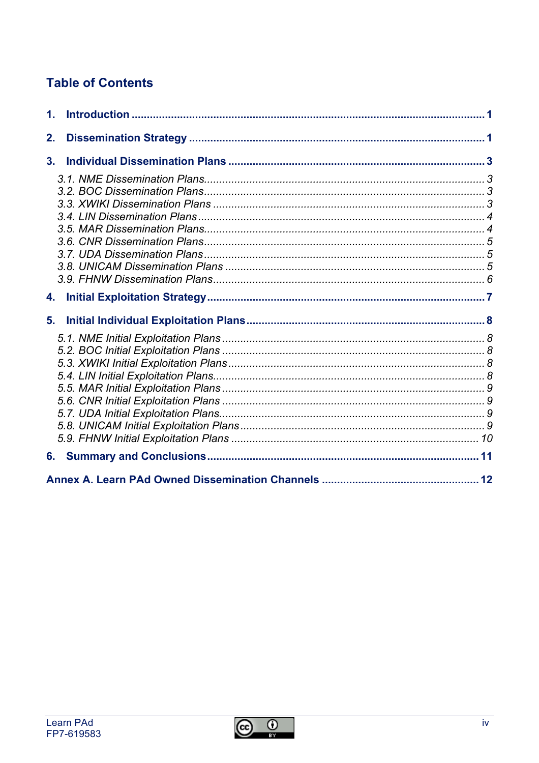## **Table of Contents**

| 2. |  |
|----|--|
| 3. |  |
|    |  |
|    |  |
|    |  |
|    |  |
|    |  |
|    |  |

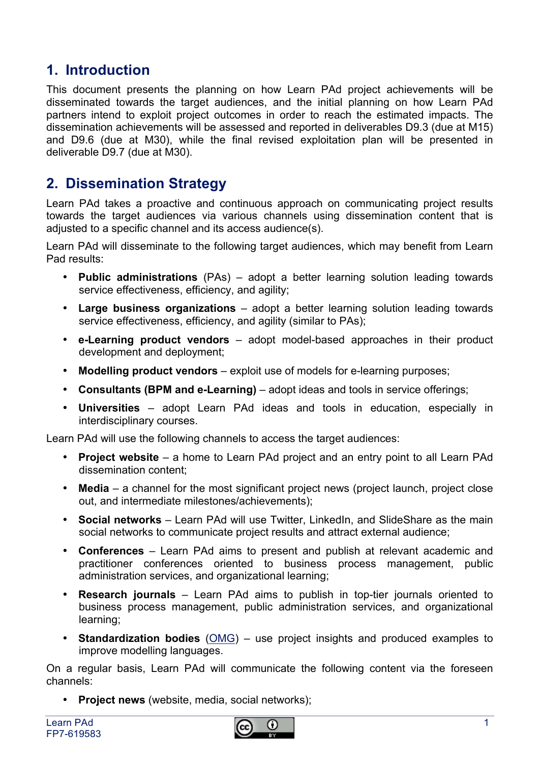### **1. Introduction**

This document presents the planning on how Learn PAd project achievements will be disseminated towards the target audiences, and the initial planning on how Learn PAd partners intend to exploit project outcomes in order to reach the estimated impacts. The dissemination achievements will be assessed and reported in deliverables D9.3 (due at M15) and D9.6 (due at M30), while the final revised exploitation plan will be presented in deliverable D9.7 (due at M30).

#### **2. Dissemination Strategy**

Learn PAd takes a proactive and continuous approach on communicating project results towards the target audiences via various channels using dissemination content that is adjusted to a specific channel and its access audience(s).

Learn PAd will disseminate to the following target audiences, which may benefit from Learn Pad results:

- **Public administrations** (PAs) adopt a better learning solution leading towards service effectiveness, efficiency, and agility;
- **Large business organizations** adopt a better learning solution leading towards service effectiveness, efficiency, and agility (similar to PAs);
- **e-Learning product vendors** adopt model-based approaches in their product development and deployment;
- **Modelling product vendors** exploit use of models for e-learning purposes;
- **Consultants (BPM and e-Learning)** adopt ideas and tools in service offerings;
- **Universities** adopt Learn PAd ideas and tools in education, especially in interdisciplinary courses.

Learn PAd will use the following channels to access the target audiences:

- **Project website** a home to Learn PAd project and an entry point to all Learn PAd dissemination content;
- **Media** a channel for the most significant project news (project launch, project close out, and intermediate milestones/achievements);
- **Social networks** Learn PAd will use Twitter, LinkedIn, and SlideShare as the main social networks to communicate project results and attract external audience;
- **Conferences** Learn PAd aims to present and publish at relevant academic and practitioner conferences oriented to business process management, public administration services, and organizational learning;
- **Research journals** Learn PAd aims to publish in top-tier journals oriented to business process management, public administration services, and organizational learning;
- **Standardization bodies** (OMG) use project insights and produced examples to improve modelling languages.

On a regular basis, Learn PAd will communicate the following content via the foreseen channels:

• **Project news** (website, media, social networks);

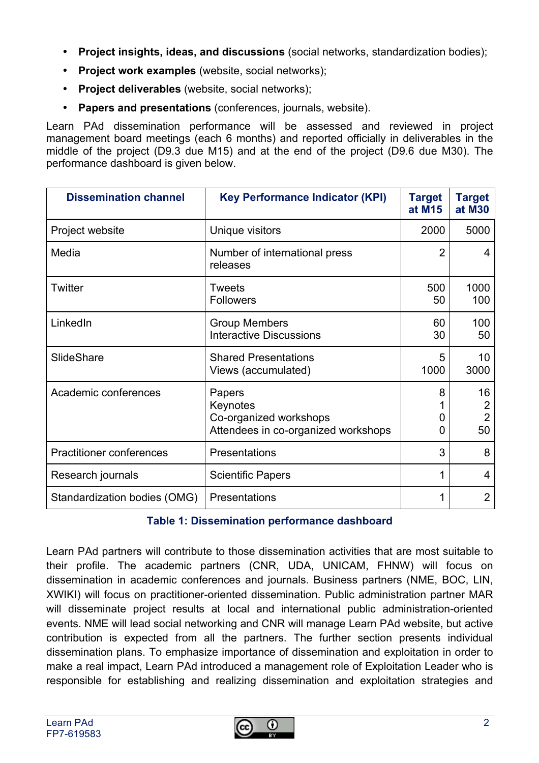- **Project insights, ideas, and discussions** (social networks, standardization bodies);
- **Project work examples** (website, social networks);
- **Project deliverables** (website, social networks);
- **Papers and presentations** (conferences, journals, website).

Learn PAd dissemination performance will be assessed and reviewed in project management board meetings (each 6 months) and reported officially in deliverables in the middle of the project (D9.3 due M15) and at the end of the project (D9.6 due M30). The performance dashboard is given below.

| <b>Dissemination channel</b>    | <b>Key Performance Indicator (KPI)</b>                                              | <b>Target</b><br>at M15 | <b>Target</b><br>at M30                      |
|---------------------------------|-------------------------------------------------------------------------------------|-------------------------|----------------------------------------------|
| Project website                 | Unique visitors                                                                     | 2000                    | 5000                                         |
| Media                           | Number of international press<br>releases                                           | 2                       | 4                                            |
| Twitter                         | Tweets<br><b>Followers</b>                                                          | 500<br>50               | 1000<br>100                                  |
| LinkedIn                        | <b>Group Members</b><br><b>Interactive Discussions</b>                              | 60<br>30                | 100<br>50                                    |
| SlideShare                      | <b>Shared Presentations</b><br>Views (accumulated)                                  | 5<br>1000               | 10<br>3000                                   |
| Academic conferences            | Papers<br>Keynotes<br>Co-organized workshops<br>Attendees in co-organized workshops | 8<br>$\mathbf{0}$<br>0  | 16<br>$\overline{2}$<br>$\overline{2}$<br>50 |
| <b>Practitioner conferences</b> | Presentations                                                                       | 3                       | 8                                            |
| Research journals               | <b>Scientific Papers</b>                                                            | 1                       | 4                                            |
| Standardization bodies (OMG)    | Presentations                                                                       |                         | $\overline{2}$                               |

#### **Table 1: Dissemination performance dashboard**

Learn PAd partners will contribute to those dissemination activities that are most suitable to their profile. The academic partners (CNR, UDA, UNICAM, FHNW) will focus on dissemination in academic conferences and journals. Business partners (NME, BOC, LIN, XWIKI) will focus on practitioner-oriented dissemination. Public administration partner MAR will disseminate project results at local and international public administration-oriented events. NME will lead social networking and CNR will manage Learn PAd website, but active contribution is expected from all the partners. The further section presents individual dissemination plans. To emphasize importance of dissemination and exploitation in order to make a real impact, Learn PAd introduced a management role of Exploitation Leader who is responsible for establishing and realizing dissemination and exploitation strategies and

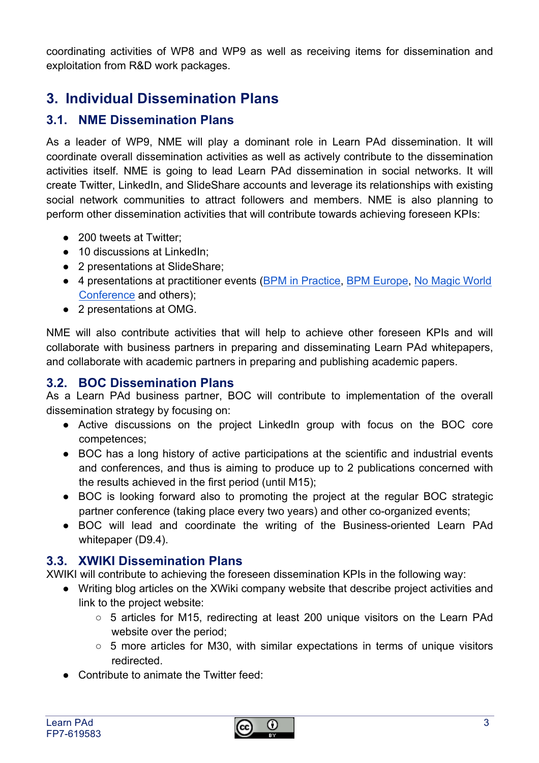coordinating activities of WP8 and WP9 as well as receiving items for dissemination and exploitation from R&D work packages.

## **3. Individual Dissemination Plans**

#### **3.1. NME Dissemination Plans**

As a leader of WP9, NME will play a dominant role in Learn PAd dissemination. It will coordinate overall dissemination activities as well as actively contribute to the dissemination activities itself. NME is going to lead Learn PAd dissemination in social networks. It will create Twitter, LinkedIn, and SlideShare accounts and leverage its relationships with existing social network communities to attract followers and members. NME is also planning to perform other dissemination activities that will contribute towards achieving foreseen KPIs:

- 200 tweets at Twitter:
- 10 discussions at LinkedIn:
- 2 presentations at SlideShare;
- 4 presentations at practitioner events (BPM in Practice, BPM Europe, No Magic World Conference and others);
- 2 presentations at OMG.

NME will also contribute activities that will help to achieve other foreseen KPIs and will collaborate with business partners in preparing and disseminating Learn PAd whitepapers, and collaborate with academic partners in preparing and publishing academic papers.

#### **3.2. BOC Dissemination Plans**

As a Learn PAd business partner, BOC will contribute to implementation of the overall dissemination strategy by focusing on:

- Active discussions on the project LinkedIn group with focus on the BOC core competences;
- BOC has a long history of active participations at the scientific and industrial events and conferences, and thus is aiming to produce up to 2 publications concerned with the results achieved in the first period (until M15);
- BOC is looking forward also to promoting the project at the regular BOC strategic partner conference (taking place every two years) and other co-organized events;
- BOC will lead and coordinate the writing of the Business-oriented Learn PAd whitepaper (D9.4).

#### **3.3. XWIKI Dissemination Plans**

XWIKI will contribute to achieving the foreseen dissemination KPIs in the following way:

- Writing blog articles on the XWiki company website that describe project activities and link to the project website:
	- 5 articles for M15, redirecting at least 200 unique visitors on the Learn PAd website over the period;
	- $\circ$  5 more articles for M30, with similar expectations in terms of unique visitors redirected.
- Contribute to animate the Twitter feed: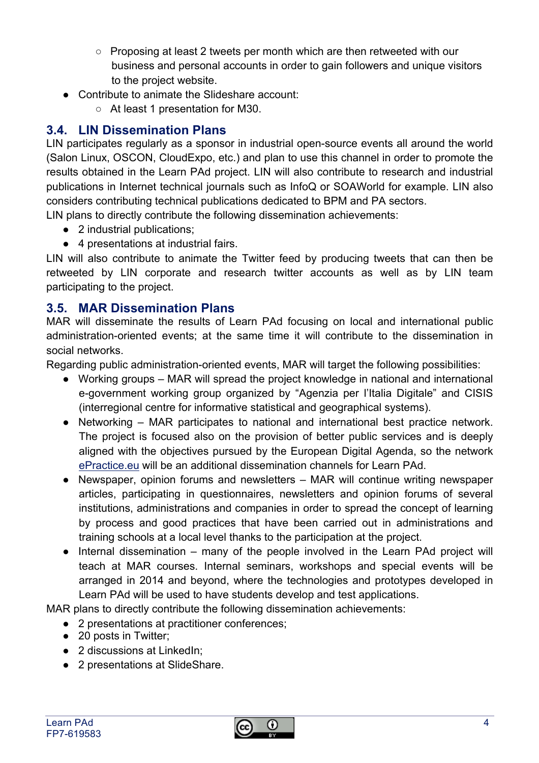- Proposing at least 2 tweets per month which are then retweeted with our business and personal accounts in order to gain followers and unique visitors to the project website.
- Contribute to animate the Slideshare account:
	- At least 1 presentation for M30.

#### **3.4. LIN Dissemination Plans**

LIN participates regularly as a sponsor in industrial open-source events all around the world (Salon Linux, OSCON, CloudExpo, etc.) and plan to use this channel in order to promote the results obtained in the Learn PAd project. LIN will also contribute to research and industrial publications in Internet technical journals such as InfoQ or SOAWorld for example. LIN also considers contributing technical publications dedicated to BPM and PA sectors.

LIN plans to directly contribute the following dissemination achievements:

- 2 industrial publications;
- 4 presentations at industrial fairs.

LIN will also contribute to animate the Twitter feed by producing tweets that can then be retweeted by LIN corporate and research twitter accounts as well as by LIN team participating to the project.

#### **3.5. MAR Dissemination Plans**

MAR will disseminate the results of Learn PAd focusing on local and international public administration-oriented events; at the same time it will contribute to the dissemination in social networks.

Regarding public administration-oriented events, MAR will target the following possibilities:

- Working groups MAR will spread the project knowledge in national and international e-government working group organized by "Agenzia per l'Italia Digitale" and CISIS (interregional centre for informative statistical and geographical systems).
- Networking MAR participates to national and international best practice network. The project is focused also on the provision of better public services and is deeply aligned with the objectives pursued by the European Digital Agenda, so the network ePractice.eu will be an additional dissemination channels for Learn PAd.
- Newspaper, opinion forums and newsletters MAR will continue writing newspaper articles, participating in questionnaires, newsletters and opinion forums of several institutions, administrations and companies in order to spread the concept of learning by process and good practices that have been carried out in administrations and training schools at a local level thanks to the participation at the project.
- Internal dissemination many of the people involved in the Learn PAd project will teach at MAR courses. Internal seminars, workshops and special events will be arranged in 2014 and beyond, where the technologies and prototypes developed in Learn PAd will be used to have students develop and test applications.

MAR plans to directly contribute the following dissemination achievements:

- 2 presentations at practitioner conferences;
- 20 posts in Twitter;
- 2 discussions at LinkedIn:
- 2 presentations at SlideShare.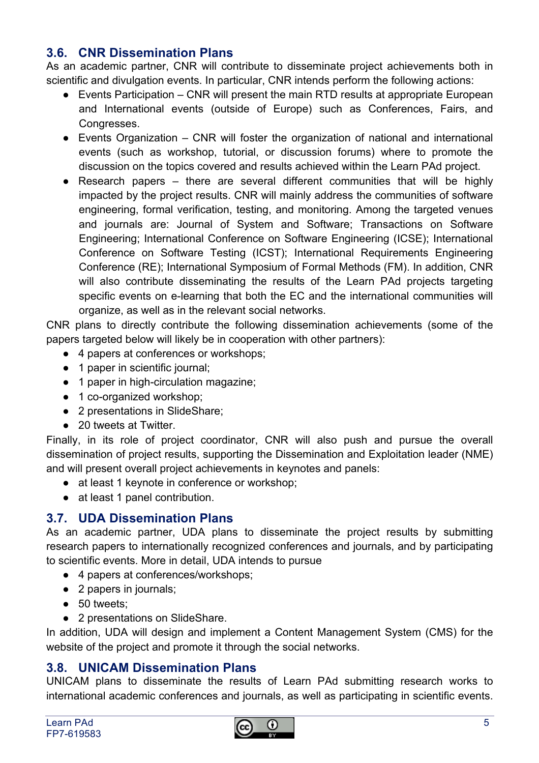#### **3.6. CNR Dissemination Plans**

As an academic partner, CNR will contribute to disseminate project achievements both in scientific and divulgation events. In particular, CNR intends perform the following actions:

- Events Participation CNR will present the main RTD results at appropriate European and International events (outside of Europe) such as Conferences, Fairs, and Congresses.
- $\bullet$  Events Organization CNR will foster the organization of national and international events (such as workshop, tutorial, or discussion forums) where to promote the discussion on the topics covered and results achieved within the Learn PAd project.
- Research papers there are several different communities that will be highly impacted by the project results. CNR will mainly address the communities of software engineering, formal verification, testing, and monitoring. Among the targeted venues and journals are: Journal of System and Software; Transactions on Software Engineering; International Conference on Software Engineering (ICSE); International Conference on Software Testing (ICST); International Requirements Engineering Conference (RE); International Symposium of Formal Methods (FM). In addition, CNR will also contribute disseminating the results of the Learn PAd projects targeting specific events on e-learning that both the EC and the international communities will organize, as well as in the relevant social networks.

CNR plans to directly contribute the following dissemination achievements (some of the papers targeted below will likely be in cooperation with other partners):

- 4 papers at conferences or workshops;
- 1 paper in scientific journal;
- 1 paper in high-circulation magazine;
- 1 co-organized workshop:
- 2 presentations in SlideShare;
- 20 tweets at Twitter.

Finally, in its role of project coordinator, CNR will also push and pursue the overall dissemination of project results, supporting the Dissemination and Exploitation leader (NME) and will present overall project achievements in keynotes and panels:

- at least 1 keynote in conference or workshop;
- at least 1 panel contribution.

#### **3.7. UDA Dissemination Plans**

As an academic partner, UDA plans to disseminate the project results by submitting research papers to internationally recognized conferences and journals, and by participating to scientific events. More in detail, UDA intends to pursue

- 4 papers at conferences/workshops;
- 2 papers in journals;
- 50 tweets;
- 2 presentations on SlideShare.

In addition, UDA will design and implement a Content Management System (CMS) for the website of the project and promote it through the social networks.

#### **3.8. UNICAM Dissemination Plans**

UNICAM plans to disseminate the results of Learn PAd submitting research works to international academic conferences and journals, as well as participating in scientific events.

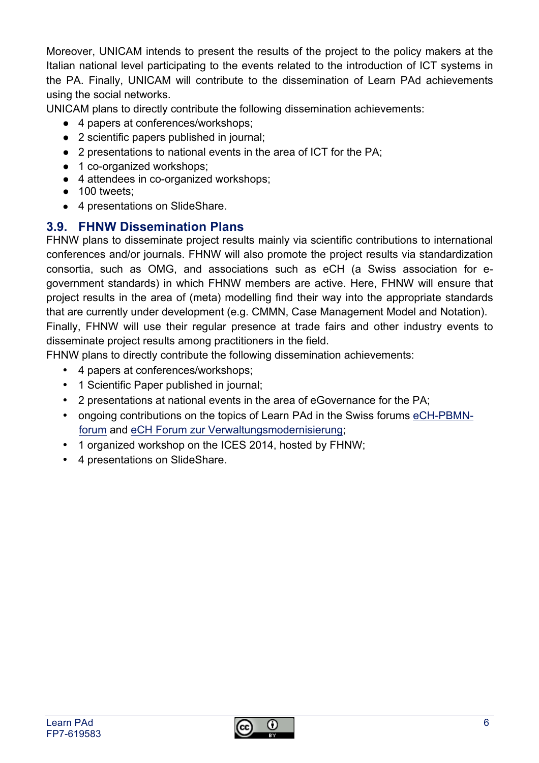Moreover, UNICAM intends to present the results of the project to the policy makers at the Italian national level participating to the events related to the introduction of ICT systems in the PA. Finally, UNICAM will contribute to the dissemination of Learn PAd achievements using the social networks.

UNICAM plans to directly contribute the following dissemination achievements:

- 4 papers at conferences/workshops;
- 2 scientific papers published in journal;
- 2 presentations to national events in the area of ICT for the PA;
- 1 co-organized workshops:
- 4 attendees in co-organized workshops;
- 100 tweets:
- 4 presentations on SlideShare.

#### **3.9. FHNW Dissemination Plans**

FHNW plans to disseminate project results mainly via scientific contributions to international conferences and/or journals. FHNW will also promote the project results via standardization consortia, such as OMG, and associations such as eCH (a Swiss association for egovernment standards) in which FHNW members are active. Here, FHNW will ensure that project results in the area of (meta) modelling find their way into the appropriate standards that are currently under development (e.g. CMMN, Case Management Model and Notation). Finally, FHNW will use their regular presence at trade fairs and other industry events to disseminate project results among practitioners in the field.

FHNW plans to directly contribute the following dissemination achievements:

- 4 papers at conferences/workshops;
- 1 Scientific Paper published in journal;
- 2 presentations at national events in the area of eGovernance for the PA;
- ongoing contributions on the topics of Learn PAd in the Swiss forums eCH-PBMNforum and eCH Forum zur Verwaltungsmodernisierung;
- 1 organized workshop on the ICES 2014, hosted by FHNW;
- 4 presentations on SlideShare.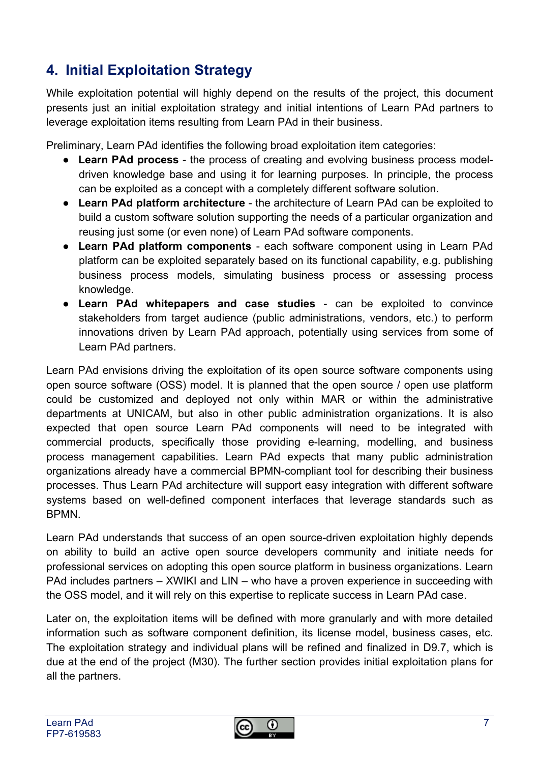## **4. Initial Exploitation Strategy**

While exploitation potential will highly depend on the results of the project, this document presents just an initial exploitation strategy and initial intentions of Learn PAd partners to leverage exploitation items resulting from Learn PAd in their business.

Preliminary, Learn PAd identifies the following broad exploitation item categories:

- **Learn PAd process** the process of creating and evolving business process modeldriven knowledge base and using it for learning purposes. In principle, the process can be exploited as a concept with a completely different software solution.
- **Learn PAd platform architecture** the architecture of Learn PAd can be exploited to build a custom software solution supporting the needs of a particular organization and reusing just some (or even none) of Learn PAd software components.
- **Learn PAd platform components** each software component using in Learn PAd platform can be exploited separately based on its functional capability, e.g. publishing business process models, simulating business process or assessing process knowledge.
- **Learn PAd whitepapers and case studies**  can be exploited to convince stakeholders from target audience (public administrations, vendors, etc.) to perform innovations driven by Learn PAd approach, potentially using services from some of Learn PAd partners.

Learn PAd envisions driving the exploitation of its open source software components using open source software (OSS) model. It is planned that the open source / open use platform could be customized and deployed not only within MAR or within the administrative departments at UNICAM, but also in other public administration organizations. It is also expected that open source Learn PAd components will need to be integrated with commercial products, specifically those providing e-learning, modelling, and business process management capabilities. Learn PAd expects that many public administration organizations already have a commercial BPMN-compliant tool for describing their business processes. Thus Learn PAd architecture will support easy integration with different software systems based on well-defined component interfaces that leverage standards such as **BPMN.** 

Learn PAd understands that success of an open source-driven exploitation highly depends on ability to build an active open source developers community and initiate needs for professional services on adopting this open source platform in business organizations. Learn PAd includes partners – XWIKI and LIN – who have a proven experience in succeeding with the OSS model, and it will rely on this expertise to replicate success in Learn PAd case.

Later on, the exploitation items will be defined with more granularly and with more detailed information such as software component definition, its license model, business cases, etc. The exploitation strategy and individual plans will be refined and finalized in D9.7, which is due at the end of the project (M30). The further section provides initial exploitation plans for all the partners.

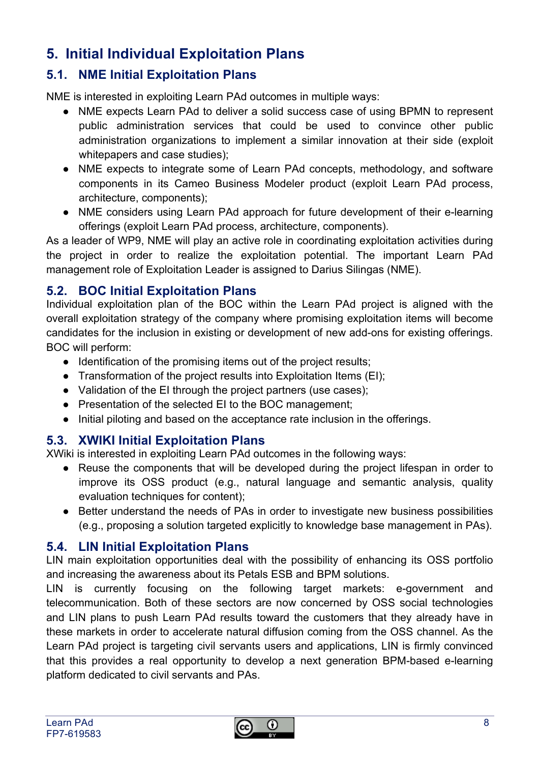## **5. Initial Individual Exploitation Plans**

#### **5.1. NME Initial Exploitation Plans**

NME is interested in exploiting Learn PAd outcomes in multiple ways:

- NME expects Learn PAd to deliver a solid success case of using BPMN to represent public administration services that could be used to convince other public administration organizations to implement a similar innovation at their side (exploit whitepapers and case studies);
- NME expects to integrate some of Learn PAd concepts, methodology, and software components in its Cameo Business Modeler product (exploit Learn PAd process, architecture, components);
- NME considers using Learn PAd approach for future development of their e-learning offerings (exploit Learn PAd process, architecture, components).

As a leader of WP9, NME will play an active role in coordinating exploitation activities during the project in order to realize the exploitation potential. The important Learn PAd management role of Exploitation Leader is assigned to Darius Silingas (NME).

#### **5.2. BOC Initial Exploitation Plans**

Individual exploitation plan of the BOC within the Learn PAd project is aligned with the overall exploitation strategy of the company where promising exploitation items will become candidates for the inclusion in existing or development of new add-ons for existing offerings. BOC will perform:

- Identification of the promising items out of the project results;
- Transformation of the project results into Exploitation Items (EI);
- Validation of the EI through the project partners (use cases);
- Presentation of the selected EI to the BOC management;
- Initial piloting and based on the acceptance rate inclusion in the offerings.

#### **5.3. XWIKI Initial Exploitation Plans**

XWiki is interested in exploiting Learn PAd outcomes in the following ways:

- Reuse the components that will be developed during the project lifespan in order to improve its OSS product (e.g., natural language and semantic analysis, quality evaluation techniques for content);
- Better understand the needs of PAs in order to investigate new business possibilities (e.g., proposing a solution targeted explicitly to knowledge base management in PAs).

#### **5.4. LIN Initial Exploitation Plans**

LIN main exploitation opportunities deal with the possibility of enhancing its OSS portfolio and increasing the awareness about its Petals ESB and BPM solutions.

LIN is currently focusing on the following target markets: e-government and telecommunication. Both of these sectors are now concerned by OSS social technologies and LIN plans to push Learn PAd results toward the customers that they already have in these markets in order to accelerate natural diffusion coming from the OSS channel. As the Learn PAd project is targeting civil servants users and applications, LIN is firmly convinced that this provides a real opportunity to develop a next generation BPM-based e-learning platform dedicated to civil servants and PAs.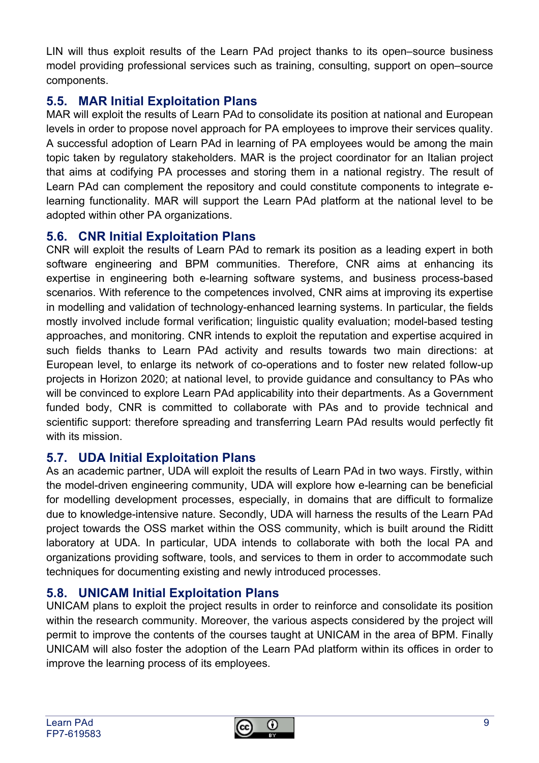LIN will thus exploit results of the Learn PAd project thanks to its open–source business model providing professional services such as training, consulting, support on open–source components.

#### **5.5. MAR Initial Exploitation Plans**

MAR will exploit the results of Learn PAd to consolidate its position at national and European levels in order to propose novel approach for PA employees to improve their services quality. A successful adoption of Learn PAd in learning of PA employees would be among the main topic taken by regulatory stakeholders. MAR is the project coordinator for an Italian project that aims at codifying PA processes and storing them in a national registry. The result of Learn PAd can complement the repository and could constitute components to integrate elearning functionality. MAR will support the Learn PAd platform at the national level to be adopted within other PA organizations.

#### **5.6. CNR Initial Exploitation Plans**

CNR will exploit the results of Learn PAd to remark its position as a leading expert in both software engineering and BPM communities. Therefore, CNR aims at enhancing its expertise in engineering both e-learning software systems, and business process-based scenarios. With reference to the competences involved, CNR aims at improving its expertise in modelling and validation of technology-enhanced learning systems. In particular, the fields mostly involved include formal verification; linguistic quality evaluation; model-based testing approaches, and monitoring. CNR intends to exploit the reputation and expertise acquired in such fields thanks to Learn PAd activity and results towards two main directions: at European level, to enlarge its network of co-operations and to foster new related follow-up projects in Horizon 2020; at national level, to provide guidance and consultancy to PAs who will be convinced to explore Learn PAd applicability into their departments. As a Government funded body, CNR is committed to collaborate with PAs and to provide technical and scientific support: therefore spreading and transferring Learn PAd results would perfectly fit with its mission.

#### **5.7. UDA Initial Exploitation Plans**

As an academic partner, UDA will exploit the results of Learn PAd in two ways. Firstly, within the model-driven engineering community, UDA will explore how e-learning can be beneficial for modelling development processes, especially, in domains that are difficult to formalize due to knowledge-intensive nature. Secondly, UDA will harness the results of the Learn PAd project towards the OSS market within the OSS community, which is built around the Riditt laboratory at UDA. In particular, UDA intends to collaborate with both the local PA and organizations providing software, tools, and services to them in order to accommodate such techniques for documenting existing and newly introduced processes.

#### **5.8. UNICAM Initial Exploitation Plans**

UNICAM plans to exploit the project results in order to reinforce and consolidate its position within the research community. Moreover, the various aspects considered by the project will permit to improve the contents of the courses taught at UNICAM in the area of BPM. Finally UNICAM will also foster the adoption of the Learn PAd platform within its offices in order to improve the learning process of its employees.

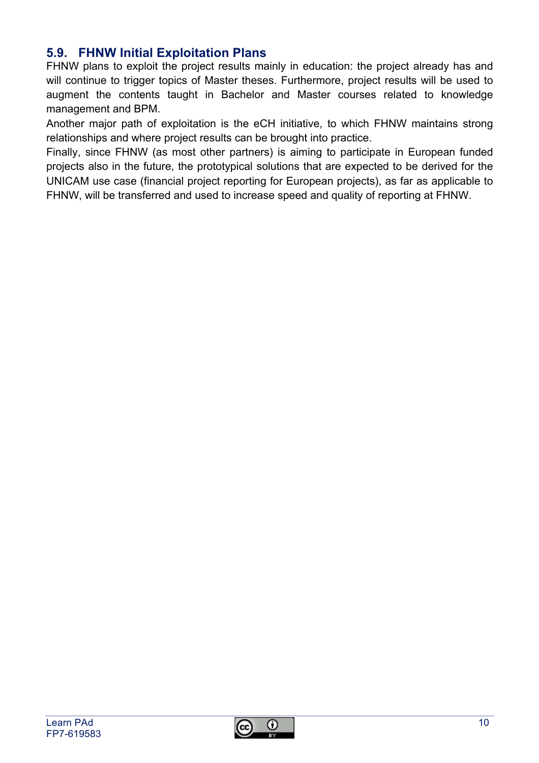#### **5.9. FHNW Initial Exploitation Plans**

FHNW plans to exploit the project results mainly in education: the project already has and will continue to trigger topics of Master theses. Furthermore, project results will be used to augment the contents taught in Bachelor and Master courses related to knowledge management and BPM.

Another major path of exploitation is the eCH initiative, to which FHNW maintains strong relationships and where project results can be brought into practice.

Finally, since FHNW (as most other partners) is aiming to participate in European funded projects also in the future, the prototypical solutions that are expected to be derived for the UNICAM use case (financial project reporting for European projects), as far as applicable to FHNW, will be transferred and used to increase speed and quality of reporting at FHNW.

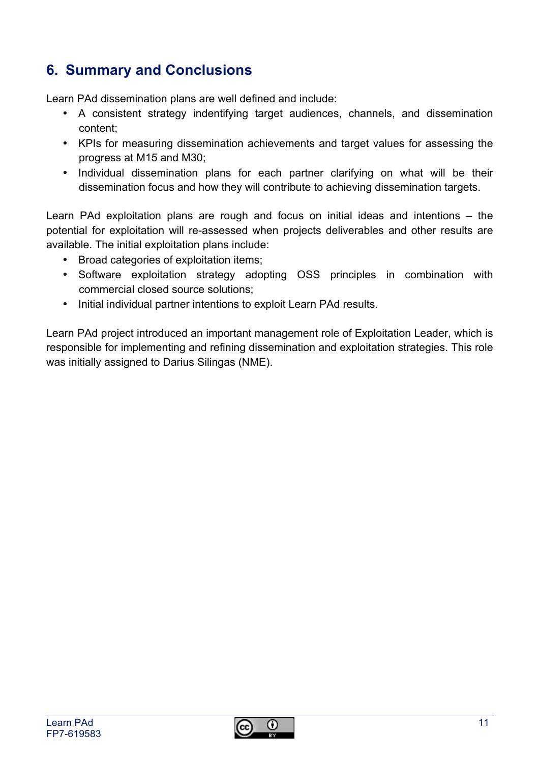## **6. Summary and Conclusions**

Learn PAd dissemination plans are well defined and include:

- A consistent strategy indentifying target audiences, channels, and dissemination content;
- KPIs for measuring dissemination achievements and target values for assessing the progress at M15 and M30;
- Individual dissemination plans for each partner clarifying on what will be their dissemination focus and how they will contribute to achieving dissemination targets.

Learn PAd exploitation plans are rough and focus on initial ideas and intentions – the potential for exploitation will re-assessed when projects deliverables and other results are available. The initial exploitation plans include:

- Broad categories of exploitation items;
- Software exploitation strategy adopting OSS principles in combination with commercial closed source solutions;
- Initial individual partner intentions to exploit Learn PAd results.

Learn PAd project introduced an important management role of Exploitation Leader, which is responsible for implementing and refining dissemination and exploitation strategies. This role was initially assigned to Darius Silingas (NME).